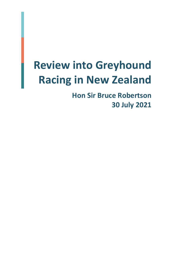# **Review into Greyhound Racing in New Zealand**

**Hon Sir Bruce Robertson 30 July 2021**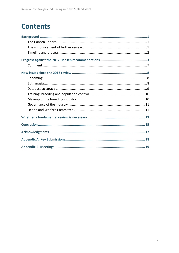### **Contents**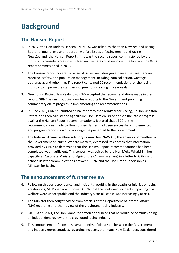# <span id="page-2-0"></span>**Background**

#### <span id="page-2-1"></span>**The Hansen Report**

- 1. In 2017, the Hon Rodney Hansen CNZM QC was asked by the then New Zealand Racing Board to inquire into and report on welfare issues affecting greyhound racing in New Zealand (the Hansen Report). This was the second report commissioned by the industry to consider areas in which animal welfare could improve. The first was the WHK report commissioned in 2013.
- 2. The Hansen Report covered a range of issues, including governance, welfare standards, racetrack safety, and population management including data collection, wastage, euthanasia, and rehoming. The report contained 20 recommendations for the racing industry to improve the standards of greyhound racing in New Zealand.
- 3. Greyhound Racing New Zealand (GRNZ) accepted the recommendations made in the report. GRNZ began producing quarterly reports to the Government providing commentary on its progress in implementing the recommendations.
- 4. In June 2020, GRNZ submitted a final report to then Minister for Racing, Rt Hon Winston Peters, and then Minister of Agriculture, Hon Damien O'Connor, on the latest progress against the Hansen Report recommendations. It stated that all 20 of the recommendations made by Hon Rodney Hansen had been successfully implemented, and progress reporting would no longer be presented to the Government.
- 5. The National Animal Welfare Advisory Committee (NAWAC), the advisory committee to the Government on animal welfare matters, expressed its concern that information provided by GRNZ to determine that the Hansen Report recommendations had been completed was insufficient. This concern was voiced by the Hon Meka Whaitiri in her capacity as Associate Minister of Agriculture (Animal Welfare) in a letter to GRNZ and echoed in later communications between GRNZ and the Hon Grant Robertson as Minister for Racing.

#### <span id="page-2-2"></span>**The announcement of further review**

- 6. Following this correspondence, and incidents resulting in the deaths or injuries of racing greyhounds, Mr Robertson informed GRNZ that the continued incidents impacting dog welfare were unacceptable and the industry's social license was increasingly at risk.
- 7. The Minister then sought advice from officials at the Department of Internal Affairs (DIA) regarding a further review of the greyhound racing industry.
- 8. On 16 April 2021, the Hon Grant Robertson announced that he would be commissioning an independent review of the greyhound racing industry.
- 9. This announcement followed several months of discussion between the Government and industry representatives regarding incidents that many New Zealanders considered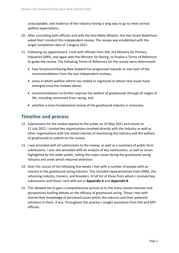unacceptable, and evidence of the industry having a long way to go to meet animal welfare expectations.

- 10. After consulting with officials and with the Hon Meka Whaitiri, the Hon Grant Robertson asked that I conduct this independent review. The review was established with the target completion date of 1 August 2021.
- 11. Following my appointment, I met with officials from DIA, the Ministry for Primary Industries (MPI), and again with the Minister for Racing, to finalise a Terms of Reference to guide the review. The following Terms of Reference for the review were determined:
	- how Greyhound Racing New Zealand has progressed towards or met each of the recommendations from the two independent reviews;
	- areas in which welfare reform has stalled or regressed or where new issues have emerged since the reviews above;
	- recommendations to further improve the welfare of greyhounds through all stages of life, including retirement from racing; and
	- whether a more fundamental review of the greyhound industry is necessary.

#### <span id="page-3-0"></span>**Timeline and process**

- 12. Submissions for the review opened to the public on 13 May 2021 and closed on 11 July 2021. I invited key organisations involved directly with the industry as well as other organisations with the stated interest of monitoring the industry and the welfare of greyhounds to submit on the review.
- 13. I was provided with all submissions to the review, as well as a summary of public form submissions. I was also provided with an analysis of key submissions, as well as issues highlighted by the wider public, noting the major issues facing the greyhound racing industry and areas which required attention.
- 14. Over the course of the following few weeks I met with a number of people with an interest in the greyhound racing industry. This included representatives from GRNZ, the rehoming industry, trainers, and breeders. A full list of those from whom I received key submissions and those I met with are in **Appendix A** and **Appendix B**.
- 15. This allowed me to gain a comprehensive picture as to the many vested interests and perspectives fuelling debate on the efficacy of greyhound racing. Those I met with shared their knowledge of perceived issues within the industry and their potential solutions to them, if any. Throughout this process I sought assistance from DIA and MPI officials.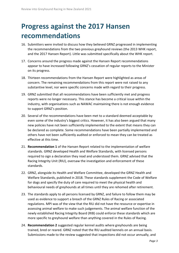# <span id="page-4-0"></span>**Progress against the 2017 Hansen recommendations**

- 16. Submitters were invited to discuss how they believed GRNZ progressed in implementing the recommendations from the two previous greyhound reviews (the 2013 WHK report, and the 2017 Hansen Report). Little was submitted specifically about the WHK report.
- 17. Concerns around the progress made against the Hansen Report recommendations appear to have increased following GRNZ's cessation of regular reports to the Minister on its progress.
- 18. Thirteen recommendations from the Hansen Report were highlighted as areas of concern. The remaining recommendations from this report were not raised to any substantive level, nor were specific concerns made with regard to their progress.
- 19. GRNZ submitted that all recommendations have been sufficiently met and progress reports were no longer necessary. This stance has become a critical issue within the industry, with organisations such as NAWAC maintaining there is not enough evidence to support GRNZ's position.
- 20. Several of the recommendations have been met to a standard deemed acceptable by even some of the industry's biggest critics. However, it has also been argued that many new policies have not been sufficiently implemented to the extent that means they can be declared as complete. Some recommendations have been partially implemented and others have not been sufficiently audited or enforced to mean they can be treated as effective at this time.
- 21. **Recommendation 1** of the Hansen Report related to the implementation of welfare standards. GRNZ developed Health and Welfare Standards, with licensed persons required to sign a declaration they read and understood them. GRNZ advised that the Racing Integrity Unit (RIU), oversaw the investigation and enforcement of these standards.
- 22. GRNZ, alongside its Health and Welfare Committee, developed the GRNZ Health and Welfare Standards, published in 2018. These standards supplement the Code of Welfare for dogs and specify the duty of care required to meet the physical health and behavioural needs of greyhounds at all times until they are rehomed after retirement.
- 23. The standards apply to all persons licensed by GRNZ, and failure to follow them may be used as evidence to support a breach of the GRNZ Rules of Racing or associated regulations. MPI was of the view that the RIU did not have the resource or expertise in assessing animal welfare to make such judgements. The animal welfare function of the newly established Racing Integrity Board (RIB) could enforce these standards which are more specific to greyhound welfare than anything covered in the Rules of Racing.
- 24. **Recommendation 2** suggested regular kennel audits where greyhounds are being trained, bred or reared. GRNZ noted that the RIU audited kennels on an annual basis. Submissions made to the review suggested that inspections did not occur annually, and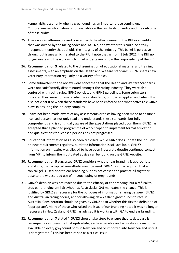kennel visits occur only when a greyhound has an important race coming up. Comprehensive information is not available on the regularity of audits and the outcome of these audits.

- 25. There was an often-expressed concern with the effectiveness of the RIU as an entity that was owned by the racing codes and TAB NZ, and whether this could be a truly independent entity that upholds the integrity of the industry. This belief is pervasive throughout issues which related to the RIU. I note that as from 1 July 2021, the RIU no longer exists and the work which it had undertaken is now the responsibility of the RIB.
- 26. **Recommendation 3** related to the dissemination of educational material and training assessments, with an emphasis on the Health and Welfare Standards. GRNZ shares new veterinary information regularly on a variety of topics.
- 27. Some submitters to the review were concerned that the Health and Welfare Standards were not satisfactorily disseminated amongst the racing industry. They were also confused with racing rules, GRNZ policies, and GRNZ guidelines. Some submitters indicated they were not aware what rules, standards, or policies applied and when. It is also not clear if or when these standards have been enforced and what active role GRNZ plays in ensuring the industry complies.
- 28. I have not been made aware of any assessments or tests having been made to ensure a licensed person has not only read and understands these standards, but fully comprehends and is continually aware of the expectations placed upon them. GRNZ has accepted that a planned programme of work scoped to implement formal education and qualifications for licensed persons has not progressed.
- 29. Educational information has also been criticised. While GRNZ does update the industry on new requirements regularly, outdated information is still available. GRNZ's information on muzzles was alleged to have been inaccurate despite continued contact from MPI to inform them outdated advice can be found on the GRNZ website.
- 30. **Recommendation 5** suggested GRNZ considers whether ear branding is appropriate, and if it is, then a topical anaesthetic must be used. GRNZ has now required that a topical gel is used prior to ear branding but has not ceased the practice all together, despite the widespread use of microchipping of greyhounds.
- 31. GRNZ's decision was not reached due to the efficacy of ear branding, but a refusal to stop ear branding until Greyhounds Australasia (GA) mandates the change. This is justified by GRNZ as necessary for the purposes of information sharing between GRNZ and Australian racing bodies, and for allowing New Zealand greyhounds to race in Australia. Consideration should be given by GRNZ as to whether this fits the definition of 'appropriate'. Many of those who raised the issue of ear branding noted it was no longer necessary in New Zealand. GRNZ has advised it is working with GA to end ear branding.
- 32. **Recommendation 7** stated "[GRNZ] should take steps to ensure that its database is revamped so as to ensure that up-to-date, easily accessible and accurate information is available on every greyhound born in New Zealand or imported into New Zealand until it is deregistered." This has been raised as a critical issue.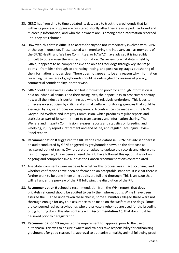- 33. GRNZ has from time to time updated its database to track the greyhounds that fall within its purview. Puppies are registered shortly after they are whelped. Ear brand and microchip information, and who their owners are, is among other information recorded until they are rehomed.
- 34. However, this data is difficult to access for anyone not immediately involved with GRNZ or the dog in question. Those tasked with monitoring the industry, such as members of the GRNZ Health and Welfare Committee, or NAWAC, have advised it is incredibly difficult to obtain even the simplest information. On reviewing what data is held by GRNZ, it appears to be comprehensive and able to track dogs through key life-stage points – from birth through to pre-racing, racing, and post-racing stages but sharing of the information is not as clear. There does not appear to be any reason why information regarding the welfare of greyhounds should be outweighed by reasons of privacy, commercial confidentiality, or otherwise.
- 35. GRNZ could be viewed as 'data rich but information poor' for although information is held on individual animals and their racing lives, the opportunity to proactively portray how well the industry is performing as a whole is relatively underdone. This leads to unnecessary scepticism by critics and animal welfare monitoring agencies that could be assuaged by a greater focus on transparency. A contrast can be made with the NSW Greyhound Welfare and Integrity Commission, which produces regular reports and statistics as part of its commitment to transparency and information sharing. The Welfare and Integrity Commission releases reports and statistics on breeding and whelping, injury reports, retirement and end of life, and regular Race Injury Review Panel reports.
- 36. **Recommendation 8** suggested the RIU verifies the database. GRNZ has advised there is an audit conducted by GRNZ triggered by greyhounds shown on the database as registered but not racing. Owners are then asked to update the records and where this has not happened, I have been advised the RIU have followed this up, but it is not an ongoing and comprehensive audit as the Hansen recommendations contemplated.
- 37. Anecdotal comments were made as to whether this process was in fact occurring, and whether verifications have been performed to an acceptable standard. It is clear there is further work to be done in ensuring audits are full and thorough. This is an issue that will fall under the purview of the RIB following the dissolution of the RIU.
- 38. **Recommendation 9** echoed a recommendation from the WHK report, that dogs privately rehomed should be audited to verify their whereabouts. While I have been assured the RIU had undertaken these checks, some submitters alleged these were not thorough enough for any true assurance to be made on the welfare of the dogs. Some are concerned retired greyhounds who are privately rehomed are used for the breeding of pig hunting dogs. This also conflicts with **Recommendation 10**, that dogs must be de-sexed prior to deregistration.
- 39. **Recommendation 13** suggested the requirement for approval prior to the use of euthanasia. This was to ensure owners and trainers take responsibility for euthanising greyhounds for good reason, i.e. approval to euthanise a healthy animal following proof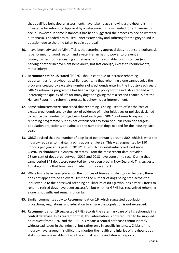that qualified behavioural assessments have taken place showing a greyhound is unsuitable for rehoming. Approval by a veterinarian is now needed for euthanasia to occur. However, in some instances it has been suggested the process to decide whether euthanasia is needed has caused unnecessary delay and suffering for the greyhound in question due to the time taken to gain approval.

- 40. I have been advised by MPI officials that veterinary approval does not ensure euthanasia is performed for good reason, and a veterinarian has no power to prevent an owner/trainer from requesting euthanasia for 'unreasonable' circumstances (e.g. barking or other inconvenient behaviours, not fast enough, excess to requirements, minor injury).
- 41. **Recommendation 15** stated "[GRNZ] should continue to increase rehoming opportunities for greyhounds while recognizing that rehoming alone cannot solve the problems created by excessive numbers of greyhounds entering the industry each year." GRNZ's rehoming programme has been a flagship policy for the industry credited with increasing the quality of life for many dogs and giving them a second chance. Since the Hansen Report the rehoming process has shown clear improvement.
- 42. Some submitters were concerned that rehoming is being used to offset the cost of excess greyhounds and by the lack of evidence of major initiatives or policies designed to reduce the number of dogs being bred each year. GRNZ continues to expand its rehoming programme but has not established any form of public reduction targets, population projections, or estimated the number of dogs needed for the industry each year.
- 43. GRNZ advised that the number of dogs bred per annum is around 800, which is what the industry requires to maintain racing at current levels. This was augmented by 150 imports per year at its peak in 2018/19 – which has substantially reduced since COVID-19 shutdowns in Australian states. From the most recent data provided, 78 per cent of dogs bred between 2017 and 2018 have gone on to race. During that same period 843 dogs were reported to have been bred in New Zealand. This suggests 185 dogs during that time never made it to the race track.
- 44. While limits have been placed on the number of times a single dog can be bred, there does not appear to be an overall limit on the number of dogs being bred across the industry due to the perceived breeding equilibrium of 800 greyhounds a year. Efforts to rehome retired dogs have been successful, but whether GRNZ has recognised rehoming alone is not sufficient remains uncertain.
- 45. Similar comments apply to **Recommendation 16**, which suggested population projections, regulations, and education to ensure the population is not exceeded.
- 46. **Recommendation 19** suggested GRNZ records the veterinary care of all greyhounds in a central database. In its current format, this information is only required to be supplied on request from GRNZ and the RIB. This means a central database cannot identify widespread issues in the industry, but rather only in specific instances. Critics of the industry have argued it is difficult to monitor the health and injuries of greyhounds as statistics are unavailable outside the annual reports and steward reports.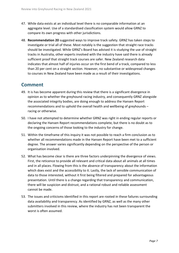- 47. While data exists at an individual level there is no comparable information at an aggregate level. Use of a standardised classification system would allow GRNZ to compare its own progress with other jurisdictions.
- 48. **Recommendation 20** suggested ways to improve track safety. GRNZ has taken steps to investigate or trial all of these. Most notably is the suggestion that straight race tracks should be investigated. While GRNZ's Board has advised it is studying the use of straight tracks in Australia, other experts involved with the industry have said there is already sufficient proof that straight track courses are safer. New Zealand research data indicates that almost half of injuries occur on the first bend of a track, compared to less than 20 per cent on a straight section. However, no substantive or widespread changes to courses in New Zealand have been made as a result of their investigations.

#### <span id="page-8-0"></span>**Comment**

- 49. It is has become apparent during this review that there is a significant divergence in opinion as to whether the greyhound racing industry, and consequently GRNZ alongside the associated integrity bodies, are doing enough to address the Hansen Report recommendations and to uphold the overall health and wellbeing of greyhounds – racing or otherwise.
- 50. I have not attempted to determine whether GRNZ was right in ending regular reports or declaring the Hansen Report recommendations complete, but there is no doubt as to the ongoing concerns of those looking to the industry for change.
- 51. Within the timeframe of this inquiry it was not possible to reach a firm conclusion as to whether all recommendations made in the Hansen Report have been met to a sufficient degree. The answer varies significantly depending on the perspective of the person or organisation involved.
- 52. What has become clear is there are three factors underpinning the divergence of views. First, the reticence to provide all relevant and critical data about all animals at all times and in all places. Flowing from this is the absence of transparency about the information which does exist and the accessibility to it. Lastly, the lack of sensible communication of data to those interested, without it first being filtered and prepared for advantageous presentation. Until there is a change regarding that transparency and communication, there will be suspicion and distrust, and a rational robust and reliable assessment cannot be made.
- 53. The issues and criticisms identified in this report are rooted in these failures surrounding data availability and transparency. As identified by GRNZ, as well as the many other submitters involved in this review, where the industry has not been transparent the worst is often assumed.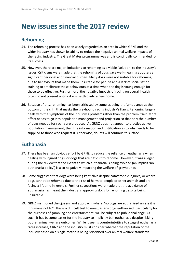### <span id="page-9-0"></span>**New issues since the 2017 review**

#### <span id="page-9-1"></span>**Rehoming**

- 54. The rehoming process has been widely regarded as an area in which GRNZ and the wider industry has shown its ability to reduce the negative animal welfare impacts of the racing industry. The Great Mates programme was and is continually commended for its success.
- 55. However, there are major limitations to rehoming as a viable 'solution' to the industry's issues. Criticisms were made that the rehoming of dogs gave well-meaning adopters a significant personal and financial burden. Many dogs were not suitable for rehoming, due to behaviours that made them unsuitable for pet life and a lack of socialisation training to ameliorate these behaviours at a time when the dog is young enough for these to be effective. Furthermore, the negative impacts of racing on overall health often do not present until a dog is settled into a new home.
- 56. Because of this, rehoming has been criticised by some as being the 'ambulance at the bottom of the cliff' that masks the greyhound racing industry's flaws. Rehoming largely deals with the symptoms of the industry's problem rather than the problem itself. More effort needs to go into population management and projection so that only the number of dogs needed for racing are produced. As GRNZ does not appear to practice active population management, then the information and justification as to why needs to be supplied to those who request it. Otherwise, doubts will continue to surface.

#### <span id="page-9-2"></span>**Euthanasia**

- 57. There has been an obvious effort by GRNZ to reduce the reliance on euthanasia when dealing with injured dogs, or dogs that are difficult to rehome. However, it was alleged during the review that the extent to which euthanasia is being avoided (an implicit 'no euthanasia policy') is also negatively impacting the welfare of greyhounds.
- 58. Some suggested that dogs were being kept alive despite catastrophic injuries, or where dogs cannot be rehomed due to the risk of harm to people or other animals and are facing a lifetime in kennels. Further suggestions were made that the avoidance of euthanasia has meant the industry is approving dogs for rehoming despite being unsuitable.
- 59. GRNZ mentioned the Queensland approach, where "no dogs are euthanised unless it is inhumane not to". This is a difficult test to meet, as any dogs euthanised (particularly for the purposes of gambling and entertainment) will be subject to public challenge. As such, it has become easier for the industry to implicitly ban euthanasia despite risking poorer animal welfare outcomes. While it seems counterintuitive to suggest euthanasia rates increase, GRNZ and the industry must consider whether the reputation of the industry based on a single metric is being prioritised over animal welfare standards.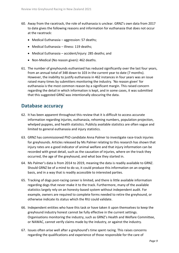- 60. Away from the racetrack, the role of euthanasia is unclear. GRNZ's own data from 2017 to date gives the following reasons and information for euthanasia that does not occur at the racetrack:
	- Medical Euthanasia aggression: 57 deaths;
	- Medical Euthanasia illness: 119 deaths;
	- Medical Euthanasia accident/injury: 285 deaths; and
	- Non-Medical (No reason given): 462 deaths.
- 61. The number of greyhounds euthanised has reduced significantly over the last four years, from an annual total of 348 down to 103 in the current year to date (7 months). However, the inability to justify euthanasia in 462 instances in four years was an issue raised many times by submitters monitoring the industry. 'No reason given' for euthanasia is the most common reason by a significant margin. This raised concern regarding the detail in which information is kept, and in some cases, it was submitted that this suggested GRNZ was intentionally obscuring the data.

#### <span id="page-10-0"></span>**Database accuracy**

- 62. It has been apparent throughout this review that it is difficult to access accurate information regarding injuries, euthanasia, rehoming numbers, population projection, whelped puppies, and health statistics. Publicly available statistics are often vague and limited to general euthanasia and injury statistics.
- 63. GRNZ has commissioned PhD candidate Anna Palmer to investigate race-track injuries for greyhounds. Articles released by Ms Palmer relating to this research has shown that injury rates are a good indicator of animal welfare and that injury information can be recorded with great detail, such as the causation of injuries, where on the track they occurred, the age of the greyhound, and what box they started in.
- 64. Ms Palmer's data is from 2014 to 2019, meaning the data is readily available to GRNZ. Should GRNZ be of a mind to do so, it could produce this information on an ongoing basis, and in a way that is readily accessible to interested parties.
- 65. Tracking of dogs post-racing career is limited, and there is little available information regarding dogs that never make it to the track. Furthermore, many of the available statistics largely rely on an honesty-based system without independent audit. For example, owners are required to complete forms needed to retire the greyhound, or otherwise indicate its status which the RIU could validate.
- 66. Independent entities who have this task or have taken it upon themselves to keep the greyhound industry honest cannot be fully effective in the current settings. Organisations monitoring the industry, such as GRNZ's Health and Welfare Committee, or NAWAC, cannot verify claims made by the industry, or against the industry.
- 67. Issues often arise well after a greyhound's time spent racing. This raises concerns regarding the qualifications and experience of those responsible for the care of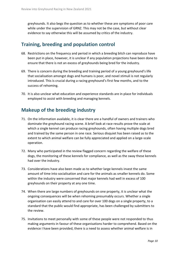greyhounds. It also begs the question as to whether these are symptoms of poor care while under the supervision of GRNZ. This may not be the case, but without clear evidence to say otherwise this will be assumed by critics of the industry.

#### <span id="page-11-0"></span>**Training, breeding and population control**

- 68. Restrictions on the frequency and period in which a breeding bitch can reproduce have been put in place, however, it is unclear if any population projections have been done to ensure that there is not an excess of greyhounds being bred for the industry.
- 69. There is concern during the breeding and training period of a young greyhound's life that socialisation amongst dogs and humans is poor, and novel stimuli is not regularly introduced. This is crucial during a racing greyhound's first few months, and to the success of rehoming.
- 70. It is also unclear what education and experience standards are in place for individuals employed to assist with breeding and managing kennels.

#### <span id="page-11-1"></span>**Makeup of the breeding industry**

- 71. On the information available, it is clear there are a handful of owners and trainers who dominate the greyhound racing scene. A brief look at race results prove the scale at which a single kennel can produce racing greyhounds, often having multiple dogs bred and trained by the same person in one race. Serious disquiet has been raised as to the extent to which animal welfare can be fully appreciated and applied on a large-scale operation.
- 72. Many who participated in the review flagged concern regarding the welfare of these dogs, the monitoring of these kennels for compliance, as well as the sway these kennels had over the industry.
- 73. Considerations have also been made as to whether large kennels invest the same amount of time into socialisation and care for the animals as smaller kennels do. Some within the industry were concerned that major kennels had well in excess of 100 greyhounds on their property at any one time.
- 74. When there are large numbers of greyhounds on one property, it is unclear what the ongoing consequences will be when rehoming presumably occurs. Whether a single organisation can easily attend to and care for over 100 dogs on a single property, to a standard that the public would find appropriate, has been challenged by submitters to the review.
- 75. Invitations to meet personally with some of these people were not responded to thus making arguments in favour of these organisations harder to comprehend. Based on the evidence I have been provided, there is a need to assess whether animal welfare is in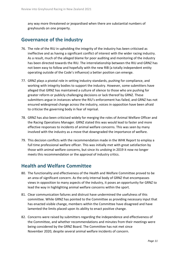any way more threatened or jeopardised when there are substantial numbers of greyhounds on one property.

#### <span id="page-12-0"></span>**Governance of the industry**

- 76. The role of the RIU in upholding the integrity of the industry has been criticised as ineffective and as having a significant conflict of interest with the wider racing industry. As a result, much of the alleged blame for poor auditing and monitoring of the industry has been directed towards the RIU. The interrelationship between the RIU and GRNZ has not been easy to follow and hopefully with the new RIB (a totally independent entity operating outside of the Code's influence) a better position can emerge.
- 77. GRNZ plays a pivotal role in setting industry standards, pushing for compliance, and working with integrity bodies to support the industry. However, some submitters have alleged that GRNZ has maintained a culture of silence to those who are pushing for greater reform or publicly challenging decisions or lack thereof by GRNZ. These submitters argue in instances where the RIU's enforcement has failed, and GRNZ has not ensured widespread change across the industry, voices in opposition have been afraid to criticise the governing body in fear of reprisal.
- 78. GRNZ has also been criticised widely for merging the roles of Animal Welfare Officer and the Racing Operations Manager. GRNZ stated this was would lead to faster and more effective responses to incidents of animal welfare concerns. This was seen by many involved with the industry as a move that downgraded the importance of welfare.
- 79. This decision conflicts with the recommendation made in the WHK Report to employ a full time professional welfare officer. This was initially met with great satisfaction by those with animal welfare concerns, but since its undoing in 2019 it now no longer meets this recommendation or the approval of industry critics.

#### <span id="page-12-1"></span>**Health and Welfare Committee**

- 80. The functionality and effectiveness of the Health and Welfare Committee proved to be an area of significant concern. As the only internal body of GRNZ that encompasses views in opposition to many aspects of the industry, it poses an opportunity for GRNZ to lead the way in highlighting animal welfare concerns within the sport.
- 81. Clear communication failures and distrust have undermined the usefulness of this committee. While GRNZ has pointed to the Committee as providing necessary input that has enacted visible change, members within the Committee have disagreed and have lamented the limits placed upon its ability to enact positive change.
- 82. Concerns were raised by submitters regarding the independence and effectiveness of the Committee, and whether recommendations and minutes from their meetings were being considered by the GRNZ Board. The Committee has not met since November 2020, despite several animal welfare incidents of concern.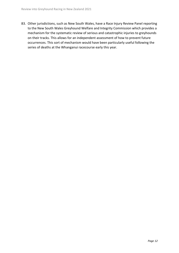83. Other jurisdictions, such as New South Wales, have a Race Injury Review Panel reporting to the New South Wales Greyhound Welfare and Integrity Commission which provides a mechanism for the systematic review of serious and catastrophic injuries to greyhounds on their tracks. This allows for an independent assessment of how to prevent future occurrences. This sort of mechanism would have been particularly useful following the series of deaths at the Whanganui racecourse early this year.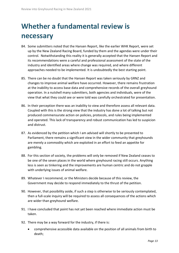# <span id="page-14-0"></span>**Whether a fundamental review is necessary**

- 84. Some submitters noted that the Hansen Report, like the earlier WHK Report, were set up by the New Zealand Racing Board, funded by them and the agendas were under their control. Notwithstanding this reality it is generally accepted that the Hansen Report and its recommendations were a careful and professional assessment of the state of the industry and identified areas where change was required, and where different approaches needed to be implemented. It is undoubtedly the best starting point.
- 85. There can be no doubt that the Hansen Report was taken seriously by GRNZ and changes to improve animal welfare have occurred. However, there remains frustration at the inability to access base data and comprehensive records of the overall greyhound operation. In a nutshell many submitters, both agencies and individuals, were of the view that what they could see or were told was carefully orchestrated for presentation.
- 86. In their perception there was an inability to view and therefore assess all relevant data. Coupled with this is the strong view that the industry has done a lot of talking but not produced commensurate action on policies, protocols, and rules being implemented and operated. This lack of transparency and robust communication has led to suspicion and distrust.
- 87. As evidenced by the petition which I am advised will shortly to be presented to Parliament, there remains a significant view in the wider community that greyhounds are merely a commodity which are exploited in an effort to feed an appetite for gambling.
- 88. For this section of society, the problems will only be removed if New Zealand ceases to be one of the seven places in the world where greyhound racing still occurs. Anything less is seen as tinkering and the improvements are human centric and do not grapple with underlying issues of animal welfare.
- 89. Whatever I recommend, or the Ministers decide because of this review, the Government may decide to respond immediately to the thrust of the petition.
- 90. However, that possibility aside, if such a step is otherwise to be seriously contemplated, then a full-scale inquiry will be required to assess all consequences of the actions which are wider than greyhound welfare.
- 91. I have concluded that point has not yet been reached where immediate action must be taken.
- 92. There may be a way forward for the industry, if there is:
	- comprehensive accessible data available on the position of all animals from birth to death;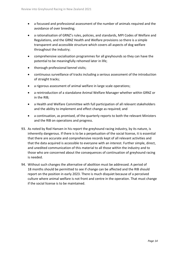- a focussed and professional assessment of the number of animals required and the avoidance of over breeding;
- a rationalisation of GRNZ's rules, policies, and standards, MPI Codes of Welfare and Regulations, and the GRNZ Health and Welfare provisions so there is a simple transparent and accessible structure which covers all aspects of dog welfare throughout the industry;
- comprehensive socialisation programmes for all greyhounds so they can have the potential to be meaningfully rehomed later in life;
- thorough professional kennel visits;
- continuous surveillance of tracks including a serious assessment of the introduction of straight tracks;
- a rigorous assessment of animal welfare in large scale operations;
- a reintroduction of a standalone Animal Welfare Manager whether within GRNZ or in the RIB;
- a Health and Welfare Committee with full participation of all relevant stakeholders and the ability to implement and effect change as required; and
- a continuation, as promised, of the quarterly reports to both the relevant Ministers and the RIB on operations and progress.
- 93. As noted by Rod Hansen in his report the greyhound racing industry, by its nature, is inherently dangerous. If there is to be a perpetuation of the social license, it is essential that there are accurate and comprehensive records kept of all relevant activities and that the data acquired is accessible to everyone with an interest. Further simple, direct, and unedited communication of this material to all those within the industry and to those who are concerned about the consequences of continuation of greyhound racing is needed.
- 94. Without such changes the alternative of abolition must be addressed. A period of 18 months should be permitted to see if change can be affected and the RIB should report on the position in early 2023. There is much disquiet because of a perceived culture where animal welfare is not front and centre in the operation. That must change if the social license is to be maintained.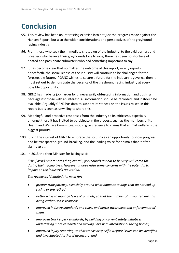# <span id="page-16-0"></span>**Conclusion**

- 95. This review has been an interesting exercise into not just the progress made against the Hansen Report, but also the wider considerations and perspectives of the greyhound racing industry.
- 96. From those who seek the immediate shutdown of the industry, to the avid trainers and breeders who believe their greyhounds love to race, there has been no shortage of heated and passionate submitters who had something important to say.
- 97. It has become clear that no matter the outcome of this report, or any reports henceforth, the social license of the industry will continue to be challenged for the foreseeable future. If GRNZ wishes to secure a future for the industry it governs, then it must set out to demonstrate the decency of the greyhound racing industry at every possible opportunity.
- 98. GRNZ has made its job harder by unnecessarily obfuscating information and pushing back against those with an interest. All information should be recorded, and it should be available. Arguably GRNZ has data to support its stances on the issues raised in this report but is seen as unwilling to share this.
- 99. Meaningful and proactive responses from the industry to its criticisms, especially amongst those it has invited to participate in the process, such as the members of its Health and Welfare Committee, would give credence to claims that animal welfare is the biggest priority.
- 100. It is in the interest of GRNZ to embrace the scrutiny as an opportunity to show progress and be transparent, ground-breaking, and the leading voice for animals that it often claims to be.
- 101. In 2013 the then Minister for Racing said:

*"The [WHK] report notes that, overall, greyhounds appear to be very well cared for during their racing lives. However, it does raise some concerns with the potential to impact on the industry's reputation.*

*The reviewers identified the need for:*

- *greater transparency, especially around what happens to dogs that do not end up racing or are retired;*
- *better ways to manage 'excess' animals, so that the number of unwanted animals being euthanised is reduced;*
- *improved industry standards and rules, and better awareness and enforcement of them;*
- *improved track safety standards, by building on current safety initiatives, undertaking more research and making links with international racing bodies;*
- *improved injury reporting, so that trends or specific welfare issues can be identified and investigated further if necessary; and*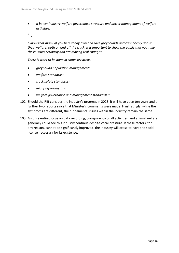• *a better industry welfare governance structure and better management of welfare activities.*

*(…)*

*I know that many of you here today own and race greyhounds and care deeply about their welfare, both on and off the track. It is important to show the public that you take these issues seriously and are making real changes.*

*There is work to be done in some key areas:*

- *greyhound population management;*
- *welfare standards;*
- *track safety standards;*
- *injury reporting; and*
- *welfare governance and management standards."*
- 102. Should the RIB consider the industry's progress in 2023, it will have been ten years and a further two reports since that Minister's comments were made. Frustratingly, while the symptoms are different, the fundamental issues within the industry remain the same.
- 103. An unrelenting focus on data recording, transparency of all activities, and animal welfare generally could see this industry continue despite vocal pressure. If these factors, for any reason, cannot be significantly improved, the industry will cease to have the social license necessary for its existence.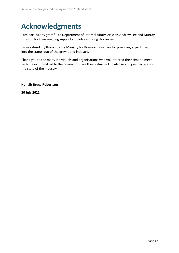# <span id="page-18-0"></span>**Acknowledgments**

I am particularly grateful to Department of Internal Affairs officials Andrew Lee and Murray Johnson for their ongoing support and advice during this review.

I also extend my thanks to the Ministry for Primary Industries for providing expert insight into the status quo of the greyhound industry.

Thank you to the many individuals and organisations who volunteered their time to meet with me or submitted to the review to share their valuable knowledge and perspectives on the state of the industry.

**Hon Sir Bruce Robertson** 

**30 July 2021**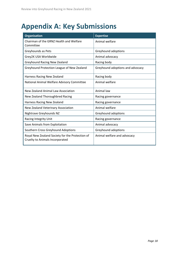# <span id="page-19-0"></span>**Appendix A: Key Submissions**

| <b>Organisation</b>                                                                | <b>Expertise</b>                 |
|------------------------------------------------------------------------------------|----------------------------------|
| Chairman of the GRNZ Health and Welfare<br>Committee                               | Animal welfare                   |
| Greyhounds as Pets                                                                 | Greyhound adoptions              |
| Grey2K USA Worldwide                                                               | Animal advocacy                  |
| <b>Greyhound Racing New Zealand</b>                                                | Racing body                      |
| Greyhound Protection League of New Zealand                                         | Greyhound adoptions and advocacy |
| Harness Racing New Zealand                                                         | Racing body                      |
| National Animal Welfare Advisory Committee                                         | Animal welfare                   |
| New Zealand Animal Law Association                                                 | Animal law                       |
| New Zealand Thoroughbred Racing                                                    | Racing governance                |
| Harness Racing New Zealand                                                         | Racing governance                |
| New Zealand Veterinary Association                                                 | Animal welfare                   |
| Nightrave Greyhounds NZ                                                            | Greyhound adoptions              |
| <b>Racing Integrity Unit</b>                                                       | Racing governance                |
| Save Animals from Exploitation                                                     | Animal advocacy                  |
| Southern Cross Greyhound Adoptions                                                 | Greyhound adoptions              |
| Royal New Zealand Society for the Protection of<br>Cruelty to Animals Incorporated | Animal welfare and advocacy      |